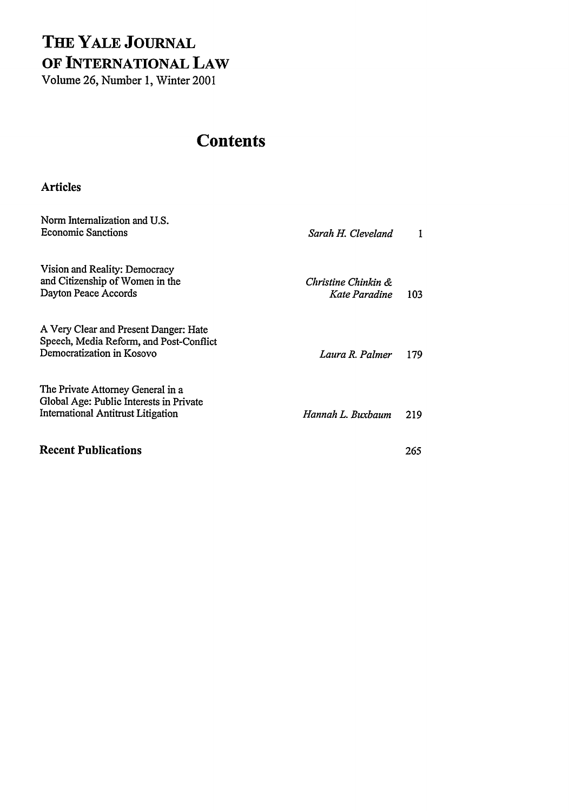# **THE YALE JOURNAL OF INTERNATIONAL LAW**

Volume **26,** Number **1,** Winter 2001

## **Contents**

### Articles

| Norm Internalization and U.S.<br>Economic Sanctions                                                                | Sarah H. Cleveland                   | I   |
|--------------------------------------------------------------------------------------------------------------------|--------------------------------------|-----|
| Vision and Reality: Democracy<br>and Citizenship of Women in the<br>Dayton Peace Accords                           | Christine Chinkin &<br>Kate Paradine | 103 |
| A Very Clear and Present Danger: Hate<br>Speech, Media Reform, and Post-Conflict<br>Democratization in Kosovo      | Laura R. Palmer                      | 179 |
| The Private Attorney General in a<br>Global Age: Public Interests in Private<br>International Antitrust Litigation | Hannah L. Buxbaum                    | 219 |
| <b>Recent Publications</b>                                                                                         |                                      | 265 |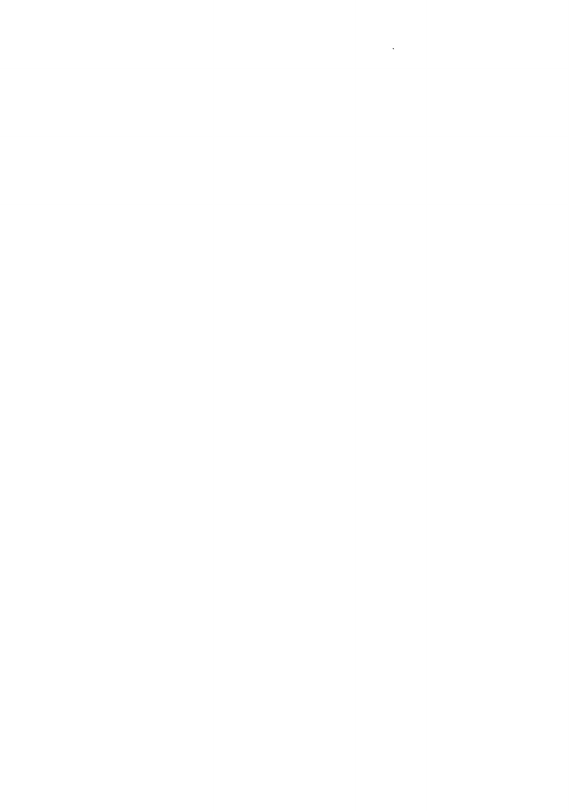$\label{eq:2.1} \frac{1}{2} \sum_{i=1}^n \frac{1}{2} \sum_{j=1}^n \frac{1}{2} \sum_{j=1}^n \frac{1}{2} \sum_{j=1}^n \frac{1}{2} \sum_{j=1}^n \frac{1}{2} \sum_{j=1}^n \frac{1}{2} \sum_{j=1}^n \frac{1}{2} \sum_{j=1}^n \frac{1}{2} \sum_{j=1}^n \frac{1}{2} \sum_{j=1}^n \frac{1}{2} \sum_{j=1}^n \frac{1}{2} \sum_{j=1}^n \frac{1}{2} \sum_{j=1}^n \frac{$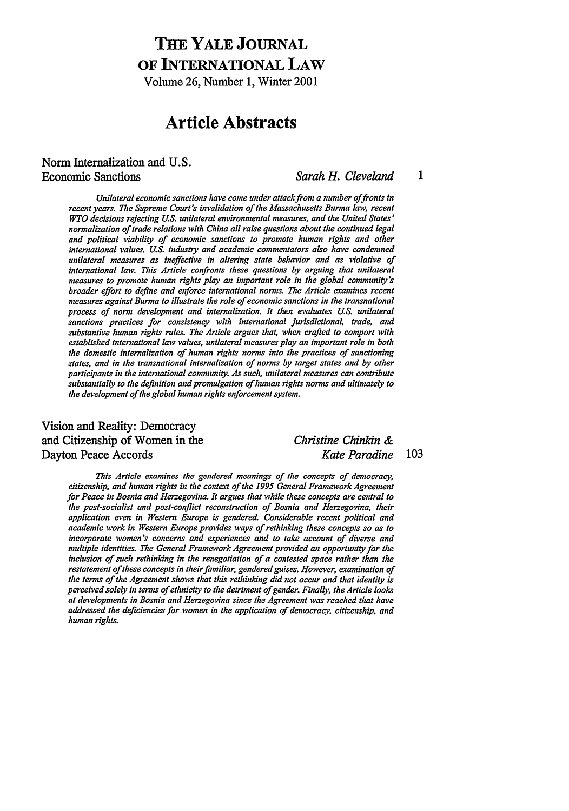## **THE YALE JouRNAL OF INTERNATIONAL LAW**

Volume **26,** Number **1,** Winter 2001

## Article Abstracts

#### Norm Internalization and **U.S.** Economic Sanctions *Sarah H. Cleveland*

 $\mathbf{1}$ 

*Unilateral economic* sanctions *have come under attackfrom a number offronts in recent years. The Supreme Court's invalidation of the Massachusetts Burma law, recent WTO decisions rejecting US. unilateral environmental measures, and the United States' normalization of trade relations with China all raise questions about the continued legal and political viability of economic sanctions to promote human rights and other international values. U.S. industry and academic commentators also have condemned unilateral measures as ineffective in altering state behavior and as violative of international law. This Article confronts these questions by arguing that unilateral measures to promote human rights play an important role in the global community's broader effort to define and enforce international norms. The Article examines recent measures against Burma to illustrate the role of economic sanctions in the transnational process of norm development and internalization. It then evaluates US. unilateral sanctions practices for consistency with international jurisdictional, trade, and substantive human rights rules. The Article argues that, when crafted to comport with* established international law values, unilateral measures play an important role in both *the domestic internalization of human rights norms into the practices of sanctioning states, and in the transnational internalization of norms by target states and by other participants in the international community. As such, unilateral measures can contribute substantially to the definition and promulgation of human rights norms and ultimately to the development of the global human rights enforcement system.*

#### Vision and Reality: Democracy and Citizenship of Women in the *Christine Chinkin &* Dayton Peace Accords *Kate Paradine* **103**

*This Article examines the gendered meanings of the concepts of democracy, citizenship, and human rights in the context of the 1995 General Framework Agreement for Peace in Bosnia and Herzegovina. It argues that while these concepts are central to the post-socialist and post-conflict reconstruction of Bosnia and Herzegovina, their application even in Western Europe is gendered. Considerable recent political and academic work in Western Europe provides ways of rethinking these concepts so as to incorporate women's concerns and experiences and to take account of diverse and multiple identities. The General Framework Agreement provided an opportunity for the inclusion of such rethinking in the renegotiation of a contested space rather than the restatement of these concepts in their familiar, gendered guises. However, examination of the terms of the Agreement shows that this rethinking did not occur and that identity is perceived solely in terms of ethnicity to the detriment of gender. Finally, the Article looks at developments in Bosnia and Herzegovina since the Agreement was reached that have addressed the deficiencies for women in the application of democracy, citizenship, and human rights.*